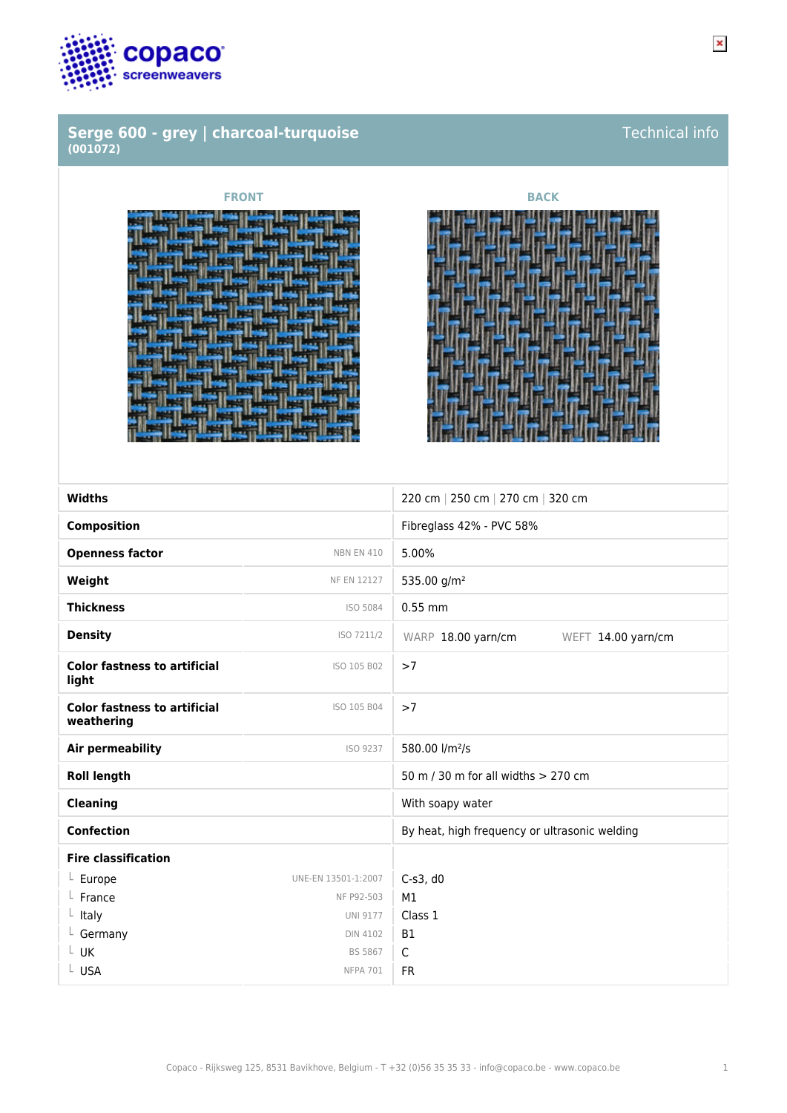

## **Serge 600 - grey | charcoal-turquoise (001072)**





| <b>Widths</b>                                     |                     | 220 cm   250 cm   270 cm   320 cm             |
|---------------------------------------------------|---------------------|-----------------------------------------------|
| <b>Composition</b>                                |                     | Fibreglass 42% - PVC 58%                      |
| <b>Openness factor</b>                            | <b>NBN EN 410</b>   | 5.00%                                         |
| Weight                                            | NF EN 12127         | 535.00 g/m <sup>2</sup>                       |
| <b>Thickness</b>                                  | ISO 5084            | $0.55$ mm                                     |
| <b>Density</b>                                    | ISO 7211/2          | WARP 18.00 yarn/cm<br>WEFT 14.00 yarn/cm      |
| <b>Color fastness to artificial</b><br>light      | ISO 105 B02         | >7                                            |
| <b>Color fastness to artificial</b><br>weathering | ISO 105 B04         | >7                                            |
| Air permeability                                  | ISO 9237            | 580.00 l/m <sup>2</sup> /s                    |
| <b>Roll length</b>                                |                     | 50 m / 30 m for all widths > 270 cm           |
| <b>Cleaning</b>                                   |                     | With soapy water                              |
| <b>Confection</b>                                 |                     | By heat, high frequency or ultrasonic welding |
| <b>Fire classification</b>                        |                     |                                               |
| L Europe                                          | UNE-EN 13501-1:2007 | $C-s3$ , d $0$                                |
| France                                            | NF P92-503          | M1                                            |
| $L$ Italy                                         | <b>UNI 9177</b>     | Class 1                                       |
| Germany                                           | <b>DIN 4102</b>     | <b>B1</b>                                     |
| $L$ UK                                            | BS 5867             | $\mathsf{C}$                                  |
| L USA                                             | <b>NFPA 701</b>     | <b>FR</b>                                     |
|                                                   |                     |                                               |

Technical info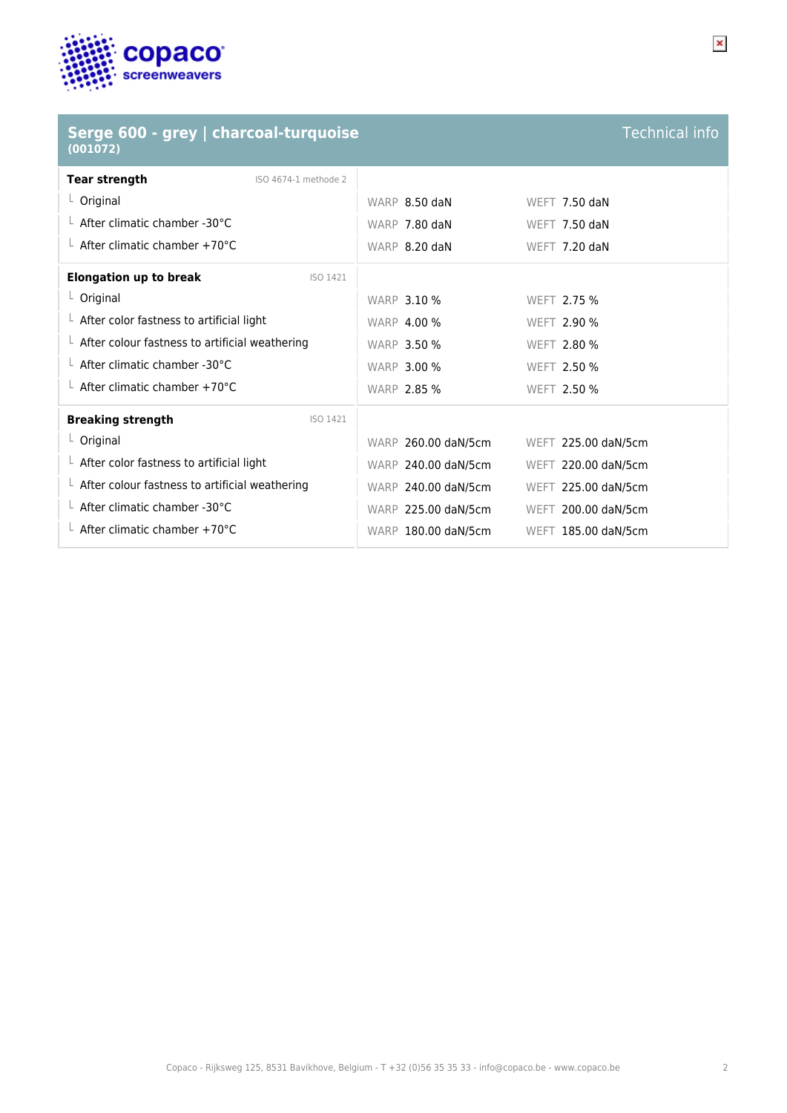

## **Serge 600 - grey | charcoal-turquoise (001072)**

| <b>Technical info</b> |  |
|-----------------------|--|
|                       |  |
|                       |  |

| <b>Tear strength</b><br>ISO 4674-1 methode 2           |                     |                      |
|--------------------------------------------------------|---------------------|----------------------|
| $L$ Original                                           | WARP 8.50 daN       | <b>WEFT 7.50 daN</b> |
| $\perp$ After climatic chamber -30°C                   | WARP 7.80 daN       | <b>WEFT 7.50 daN</b> |
| $\perp$ After climatic chamber +70°C                   | WARP 8.20 daN       | WEFT 7.20 daN        |
| <b>Elongation up to break</b><br>ISO 1421              |                     |                      |
| L Original                                             | <b>WARP 3.10 %</b>  | WEFT 2.75 %          |
| $\perp$ After color fastness to artificial light       | <b>WARP 4.00 %</b>  | WEFT 2.90 %          |
| $\perp$ After colour fastness to artificial weathering | <b>WARP 3.50 %</b>  | WEFT 2.80 %          |
| $\perp$ After climatic chamber -30°C                   | <b>WARP 3.00 %</b>  | WEFT 2.50 %          |
| $\perp$ After climatic chamber +70°C                   | <b>WARP 2.85 %</b>  | WEFT 2.50 %          |
| <b>Breaking strength</b><br>ISO 1421                   |                     |                      |
| $L$ Original                                           | WARP 260.00 daN/5cm | WEFT 225.00 daN/5cm  |
| $\perp$ After color fastness to artificial light       | WARP 240.00 daN/5cm | WEFT 220.00 daN/5cm  |
| $\perp$ After colour fastness to artificial weathering | WARP 240.00 daN/5cm | WEFT 225.00 daN/5cm  |
| $\perp$ After climatic chamber -30°C                   | WARP 225.00 daN/5cm | WEFT 200.00 daN/5cm  |
| After climatic chamber $+70^{\circ}$ C                 | WARP 180.00 daN/5cm | WEFT 185.00 daN/5cm  |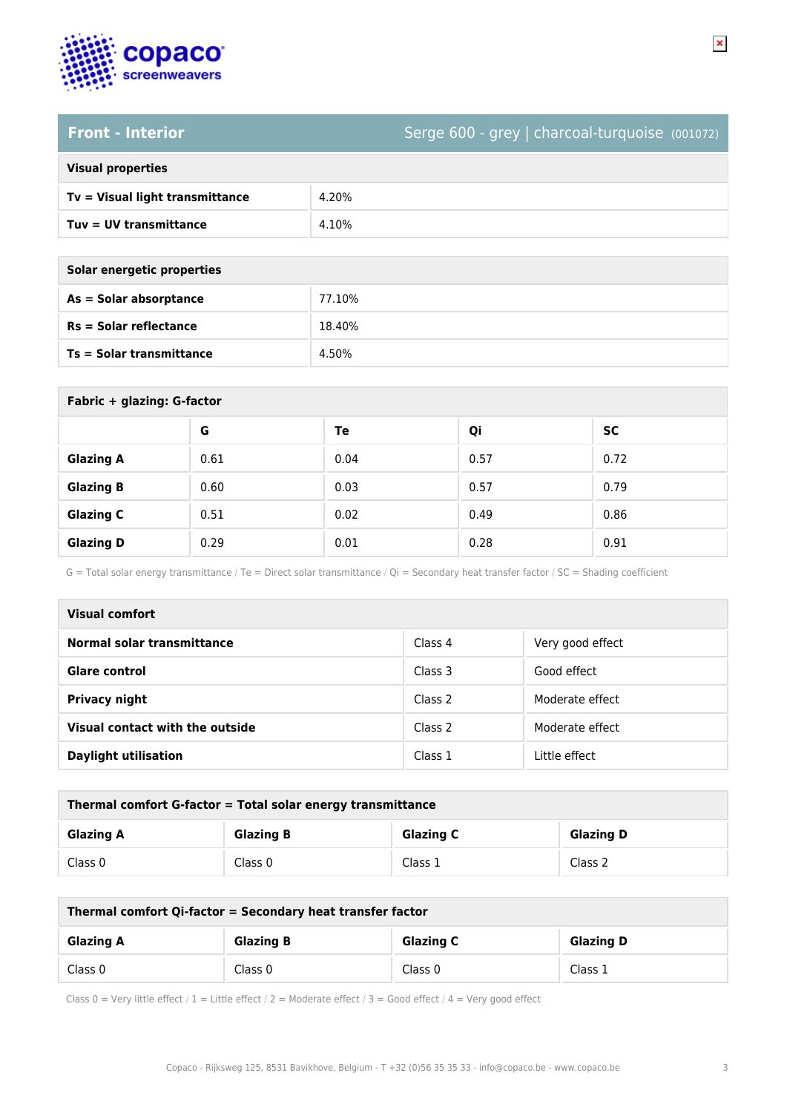

## **Front - Interior** Serge 600 - grey | charcoal-turquoise (001072)

### **Visual properties**

| $Tv = V$ isual light transmittance | 4.20% |
|------------------------------------|-------|
| $Tuv = UV$ transmittance           | 4.10% |

**Solar energetic properties**

| As = Solar absorptance     | 77.10% |
|----------------------------|--------|
| $Rs = Solar$ reflectance   | 18.40% |
| $Ts = Solar$ transmittance | 4.50%  |

| Fabric + glazing: G-factor |      |      |      |      |
|----------------------------|------|------|------|------|
|                            | G    | Te   | Qi   | SC   |
| <b>Glazing A</b>           | 0.61 | 0.04 | 0.57 | 0.72 |
| <b>Glazing B</b>           | 0.60 | 0.03 | 0.57 | 0.79 |
| <b>Glazing C</b>           | 0.51 | 0.02 | 0.49 | 0.86 |
| <b>Glazing D</b>           | 0.29 | 0.01 | 0.28 | 0.91 |

G = Total solar energy transmittance / Te = Direct solar transmittance / Qi = Secondary heat transfer factor / SC = Shading coefficient

| Visual comfort                  |         |                  |  |  |
|---------------------------------|---------|------------------|--|--|
| Normal solar transmittance      | Class 4 | Very good effect |  |  |
| Glare control                   | Class 3 | Good effect      |  |  |
| <b>Privacy night</b>            | Class 2 | Moderate effect  |  |  |
| Visual contact with the outside | Class 2 | Moderate effect  |  |  |
| <b>Daylight utilisation</b>     | Class 1 | Little effect    |  |  |

| Thermal comfort G-factor = Total solar energy transmittance                  |         |         |         |  |
|------------------------------------------------------------------------------|---------|---------|---------|--|
| <b>Glazing C</b><br><b>Glazing B</b><br><b>Glazing D</b><br><b>Glazing A</b> |         |         |         |  |
| Class 0                                                                      | Class 0 | Class 1 | Class 2 |  |

| Thermal comfort Qi-factor = Secondary heat transfer factor                   |         |         |         |  |
|------------------------------------------------------------------------------|---------|---------|---------|--|
| <b>Glazing B</b><br><b>Glazing C</b><br><b>Glazing D</b><br><b>Glazing A</b> |         |         |         |  |
| Class 0                                                                      | Class 0 | Class 0 | Class 1 |  |

Class 0 = Very little effect / 1 = Little effect / 2 = Moderate effect / 3 = Good effect / 4 = Very good effect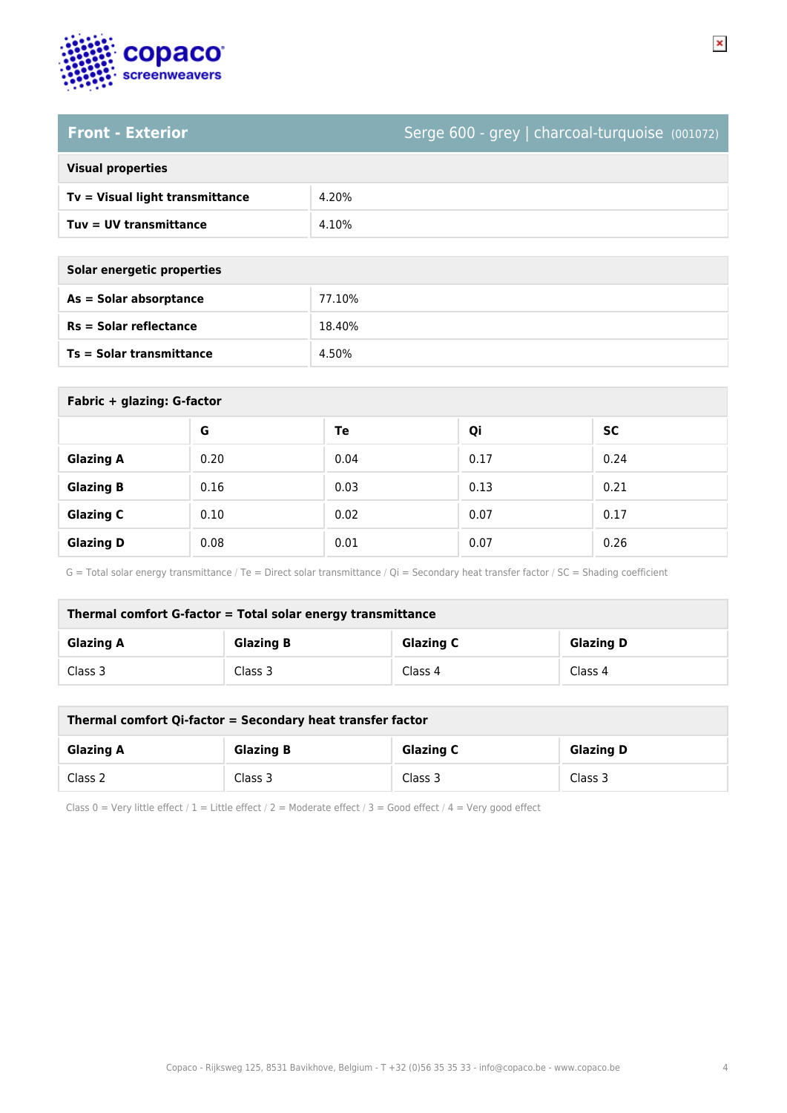

# **Front - Exterior** Serge 600 - grey | charcoal-turquoise (001072)

### **Visual properties**

| $Tv = V$ isual light transmittance | 4.20% |
|------------------------------------|-------|
| Tuy = UV transmittance             | 4.10% |

**Solar energetic properties**

| As = Solar absorptance   | 77.10% |
|--------------------------|--------|
| $Rs = Solar$ reflectance | 18.40% |
| Ts = Solar transmittance | 4.50%  |

| Fabric + glazing: G-factor |      |      |      |           |
|----------------------------|------|------|------|-----------|
|                            | G    | Te   | Qi   | <b>SC</b> |
| <b>Glazing A</b>           | 0.20 | 0.04 | 0.17 | 0.24      |
| <b>Glazing B</b>           | 0.16 | 0.03 | 0.13 | 0.21      |
| <b>Glazing C</b>           | 0.10 | 0.02 | 0.07 | 0.17      |
| <b>Glazing D</b>           | 0.08 | 0.01 | 0.07 | 0.26      |

G = Total solar energy transmittance / Te = Direct solar transmittance / Qi = Secondary heat transfer factor / SC = Shading coefficient

| Thermal comfort G-factor = Total solar energy transmittance                  |         |         |         |  |  |
|------------------------------------------------------------------------------|---------|---------|---------|--|--|
| <b>Glazing C</b><br><b>Glazing B</b><br><b>Glazing D</b><br><b>Glazing A</b> |         |         |         |  |  |
| Class 3                                                                      | Class 3 | Class 4 | Class 4 |  |  |

| Thermal comfort Qi-factor = Secondary heat transfer factor                   |         |         |         |  |
|------------------------------------------------------------------------------|---------|---------|---------|--|
| <b>Glazing C</b><br><b>Glazing D</b><br><b>Glazing B</b><br><b>Glazing A</b> |         |         |         |  |
| Class 2                                                                      | Class 3 | Class 3 | Class 3 |  |

Class 0 = Very little effect / 1 = Little effect / 2 = Moderate effect / 3 = Good effect / 4 = Very good effect

 $\pmb{\times}$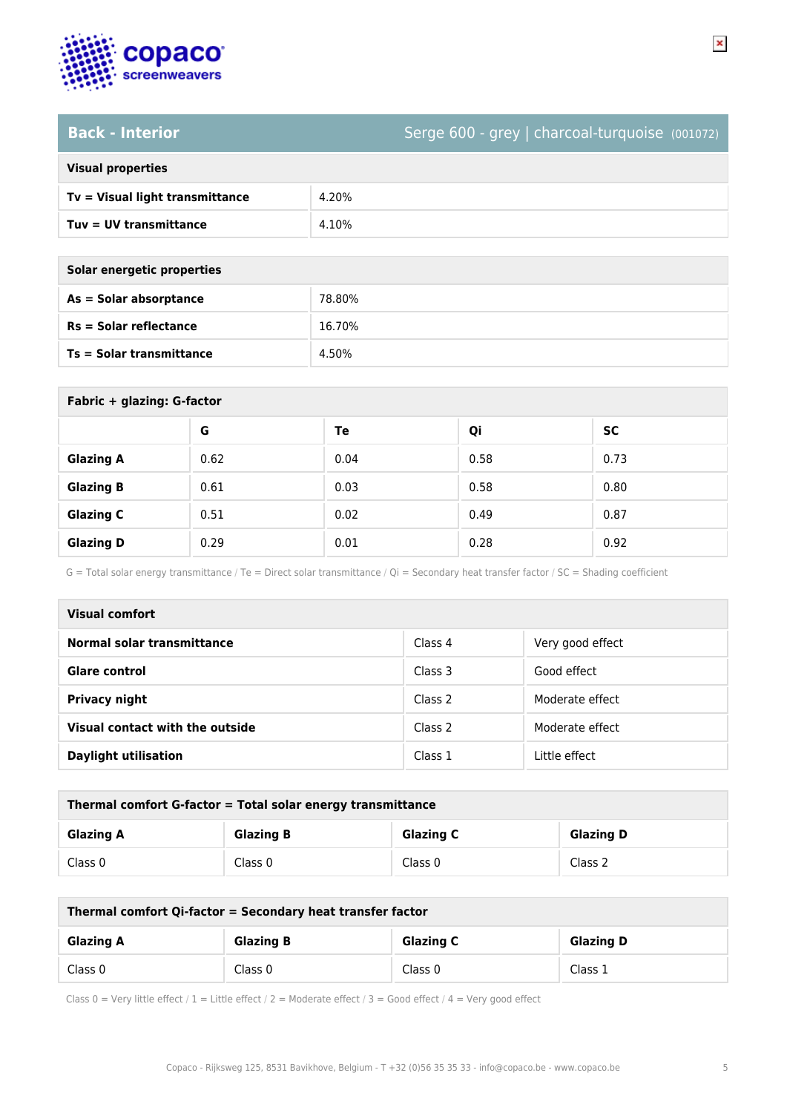

# **Back - Interior** Serge 600 - grey | charcoal-turquoise (001072)

## **Visual properties**

| $Tv = V$ isual light transmittance | 4.20% |
|------------------------------------|-------|
| Tuy = UV transmittance             | 4.10% |

**Solar energetic properties**

| As = Solar absorptance   | 78.80% |
|--------------------------|--------|
| $Rs = Solar$ reflectance | 16.70% |
| Ts = Solar transmittance | 4.50%  |

| Fabric + glazing: G-factor |      |      |      |      |
|----------------------------|------|------|------|------|
|                            | G    | Te   | Qi   | SC   |
| <b>Glazing A</b>           | 0.62 | 0.04 | 0.58 | 0.73 |
| <b>Glazing B</b>           | 0.61 | 0.03 | 0.58 | 0.80 |
| <b>Glazing C</b>           | 0.51 | 0.02 | 0.49 | 0.87 |
| <b>Glazing D</b>           | 0.29 | 0.01 | 0.28 | 0.92 |

G = Total solar energy transmittance / Te = Direct solar transmittance / Qi = Secondary heat transfer factor / SC = Shading coefficient

| Visual comfort                  |         |                  |  |
|---------------------------------|---------|------------------|--|
| Normal solar transmittance      | Class 4 | Very good effect |  |
| Glare control                   | Class 3 | Good effect      |  |
| <b>Privacy night</b>            | Class 2 | Moderate effect  |  |
| Visual contact with the outside | Class 2 | Moderate effect  |  |
| <b>Daylight utilisation</b>     | Class 1 | Little effect    |  |

| Thermal comfort G-factor = Total solar energy transmittance                  |         |         |         |  |
|------------------------------------------------------------------------------|---------|---------|---------|--|
| <b>Glazing C</b><br><b>Glazing B</b><br><b>Glazing D</b><br><b>Glazing A</b> |         |         |         |  |
| Class 0                                                                      | Class 0 | Class 0 | Class 2 |  |

| Thermal comfort Qi-factor = Secondary heat transfer factor                   |         |         |         |  |
|------------------------------------------------------------------------------|---------|---------|---------|--|
| <b>Glazing C</b><br><b>Glazing B</b><br><b>Glazing D</b><br><b>Glazing A</b> |         |         |         |  |
| Class 0                                                                      | Class 0 | Class 0 | Class 1 |  |

Class 0 = Very little effect / 1 = Little effect / 2 = Moderate effect / 3 = Good effect / 4 = Very good effect

 $\pmb{\times}$